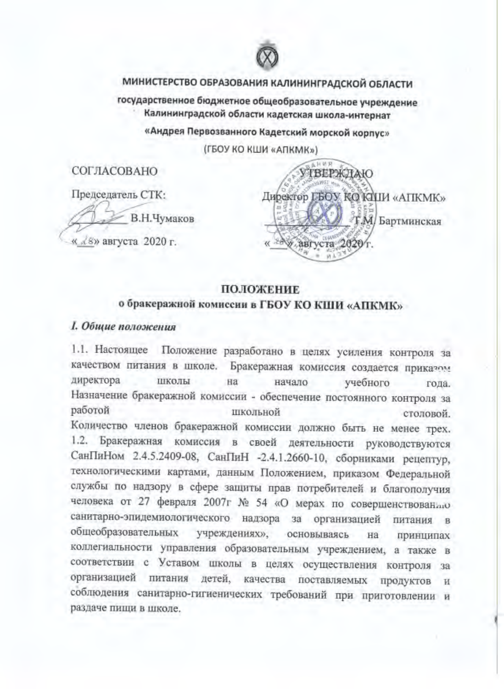

# МИНИСТЕРСТВО ОБРАЗОВАНИЯ КАЛИНИНГРАДСКОЙ ОБЛАСТИ

государственное бюджетное общеобразовательное учреждение Калининградской области кадетская школа-интернат

«Андрея Первозванного Кадетский морской корпус»

(ГБОУ КО КШИ «АПКМК»)

СОГЛАСОВАНО

Председатель СТК:

В.Н.Чумаков

« 18» августа 2020 г.

医科研究 УТВЕРЖДАЮ Директор ГБОУ КОКЦИ «АПКМК» **FM** Бартминская » августа 2020

#### ПОЛОЖЕНИЕ

## о бракеражной комиссии в ГБОУ КО КШИ «АПКМК»

#### 1. Общие положения

1.1. Настоящее Положение разработано в целях усиления контроля за качеством питания в школе. Бракеражная комиссия создается приказом директора школы на начало учебного года. Назначение бракеражной комиссии - обеспечение постоянного контроля за работой школьной столовой. Количество членов бракеражной комиссии должно быть не менее трех. 1.2. Бракеражная комиссия в своей деятельности руководствуются СанПиНом 2.4.5.2409-08, СанПиН -2.4.1.2660-10, сборниками рецептур, технологическими картами, данным Положением, приказом Федеральной службы по надзору в сфере защиты прав потребителей и благополучия человека от 27 февраля 2007г № 54 «О мерах по совершенствованаю санитарно-эпидемиологического надзора за организацией питания в общеобразовательных учреждениях». основываясь на принципах коллегиальности управления образовательным учреждением, а также в соответствии с Уставом школы в целях осуществления контроля за организацией питания детей, качества поставляемых продуктов и соблюдения санитарно-гигиенических требований при приготовлении и раздаче пищи в школе.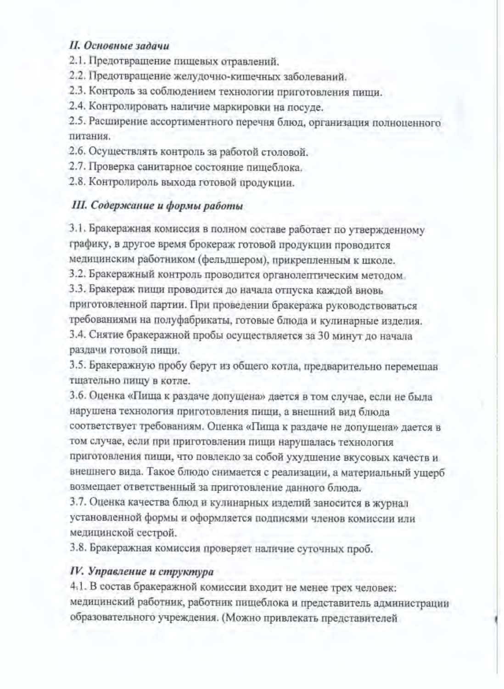## II. Основные задачи

2.1. Предотвращение пищевых отравлений.

2.2. Предотвращение желудочно-кишечных заболеваний.

2.3. Контроль за соблюдением технологии приготовления пищи.

2.4. Контролировать наличие маркировки на посуде.

2.5. Расширение ассортиментного перечня блюд, организация полноценного питания.

2.6. Осуществлять контроль за работой столовой.

2.7. Проверка санитарное состояние пищеблока.

2.8. Контролироль выхода готовой продукции.

## III. Содержание и формы работы

3.1. Бракеражная комиссия в полном составе работает по утвержденному графику, в другое время брокераж готовой продукции проводится медицинским работником (фельдшером), прикрепленным к школе.

3.2. Бракеражный контроль проводится органолептическим методом.

3.3. Бракераж пищи проводится до начала отпуска каждой вновь приготовленной партии. При проведении бракеража руководствоваться требованиями на полуфабрикаты, готовые блюда и кулинарные изделия. 3.4. Снятие бракеражной пробы осуществляется за 30 минут до начала раздачи готовой пищи.

3.5. Бракеражную пробу берут из общего котла, предварительно перемешав тщательно пищу в котле.

3.6. Оценка «Пища к раздаче допущена» дается в том случае, если не была нарушена технология приготовления пищи, а внешний вид блюда соответствует требованиям. Оценка «Пища к раздаче не допущена» дается в том случае, если при приготовлении пищи нарушалась технология приготовления пищи, что повлекло за собой ухудшение вкусовых качеств и внешнего вида. Такое блюдо снимается с реализации, а материальный ущерб возмещает ответственный за приготовление данного блюда.

3.7. Оценка качества блюд и кулинарных изделий заносится в журнал установленной формы и оформляется подписями членов комиссии или медицинской сестрой.

3.8. Бракеражная комиссия проверяет наличие суточных проб.

#### IV. Управление и структура

4.1. В состав бракеражной комиссии входит не менее трех человек: медицинский работник, работник пищеблока и представитель администрации образовательного учреждения. (Можно привлекать представителей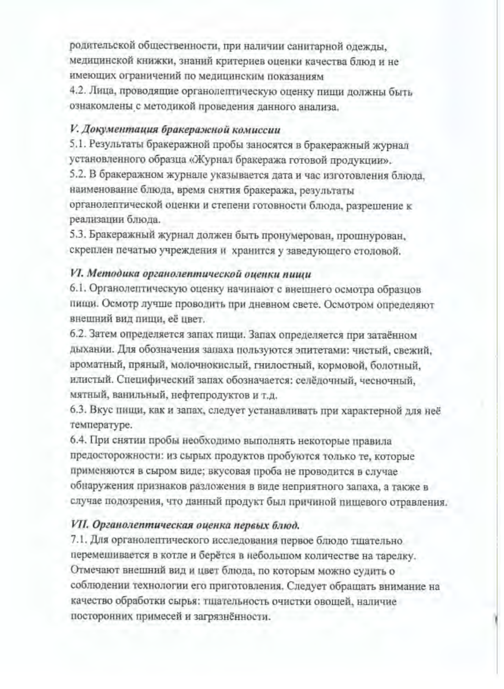родительской общественности, при наличии санитарной одежды, медицинской книжки, знаний критериев оценки качества блюд и не имеющих ограничений по медицинским показаниям

4.2. Лица, проводящие органолептическую оценку пищи должны быть ознакомлены с методикой проведения данного анализа.

### V. Документация бракеражной комиссии

5.1. Результаты бракеражной пробы заносятся в бракеражный журнал установленного образца «Журнал бракеража готовой продукции».

5.2. В бракеражном журнале указывается дата и час изготовления блюда, наименование блюда, время снятия бракеража, результаты органолептической оценки и степени готовности блюда, разрешение к

реализации блюда.

5.3. Бракеражный журнал должен быть пронумерован, прошнурован, скреплен печатью учреждения и хранится у заведующего столовой.

## VI. Методика органолептической оценки пищи

6.1. Органолептическую оценку начинают с внешнего осмотра образцов пищи. Осмотр лучше проводить при дневном свете. Осмотром определяют внешний вид пищи, её цвет.

6.2. Затем определяется запах пищи. Запах определяется при затаённом дыхании. Для обозначения запаха пользуются эпитетами: чистый, свежий, ароматный, пряный, молочнокислый, гнилостный, кормовой, болотный, илистый. Специфический запах обозначается: селёдочный, чесночный, мятный, ванильный, нефтепродуктов и т.д.

6.3. Вкус пищи, как и запах, следует устанавливать при характерной для неё температуре.

6.4. При снятии пробы необходимо выполнять некоторые правила предосторожности: из сырых продуктов пробуются только те, которые применяются в сыром виде; вкусовая проба не проводится в случае обнаружения признаков разложения в виде неприятного запаха, а также в случае подозрения, что данный продукт был причиной пищевого отравления.

#### VII. Органолептическая оценка первых блюд.

7.1. Для органолептического исследования первое блюдо тщательно перемешивается в котле и берётся в небольшом количестве на тарелку. Отмечают внешний вид и цвет блюда, по которым можно судить о соблюдении технологии его приготовления. Следует обращать внимание на качество обработки сырья: тщательность очистки овощей, наличие посторонних примесей и загрязнённости.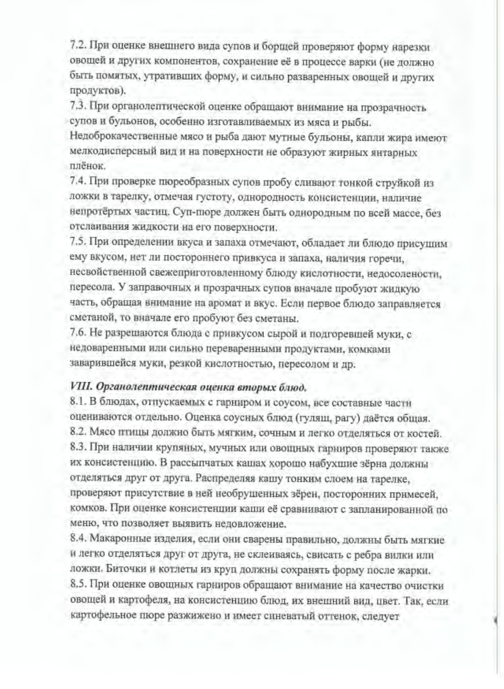7.2. При оценке внешнего вида супов и борщей проверяют форму нарезки овощей и других компонентов, сохранение её в процессе варки (не должно быть помятых, утративших форму, и сильно разваренных овощей и других продуктов).

7.3. При органолептической оценке обращают внимание на прозрачность супов и бульонов, особенно изготавливаемых из мяса и рыбы.

Недоброкачественные мясо и рыба дают мутные бульоны, капли жира имеют мелкодисперсный вид и на поверхности не образуют жирных янтарных плёнок.

7.4. При проверке пюреобразных супов пробу сливают тонкой струйкой из ложки в тарелку, отмечая густоту, однородность консистенции, наличие непротёртых частиц. Суп-пюре должен быть однородным по всей массе, без отслаивания жидкости на его поверхности.

7.5. При определении вкуса и запаха отмечают, обладает ли блюдо присущим ему вкусом, нет ли постороннего привкуса и запаха, наличия горечи, несвойственной свежеприготовленному блюду кислотности, недосолености, пересола. У заправочных и прозрачных супов вначале пробуют жидкую часть, обращая внимание на аромат и вкус. Если первое блюдо заправляется сметаной, то вначале его пробуют без сметаны.

7.6. Не разрешаются блюда с привкусом сырой и подгоревшей муки, с недоваренными или сильно переваренными продуктами, комками заварившейся муки, резкой кислотностью, пересолом и др.

#### VIII. Органолептическая оценка вторых блюд.

8.1. В блюдах, отпускаемых с гарниром и соусом, все составные части оцениваются отдельно. Оценка соусных блюд (гуляш, рагу) даётся общая. 8.2. Мясо птицы должно быть мягким, сочным и легко отделяться от костей. 8.3. При наличии крупяных, мучных или овощных гарниров проверяют также их консистенцию. В рассыпчатых кашах хорошо набухшие зёрна должны отделяться друг от друга. Распределяя кашу тонким слоем на тарелке, проверяют присутствие в ней необрушенных зёрен, посторонних примесей, комков. При оценке консистенции каши её сравнивают с запланированной по меню, что позволяет выявить недовложение.

8.4. Макаронные изделия, если они сварены правильно, должны быть мягкие и легко отделяться друг от друга, не склеиваясь, свисать с ребра вилки или ложки. Биточки и котлеты из круп должны сохранять форму после жарки. 8.5. При оценке овощных гарниров обращают внимание на качество очистки овощей и картофеля, на консистенцию блюд, их внешний вид, цвет. Так, если картофельное пюре разжижено и имеет синеватый оттенок, следует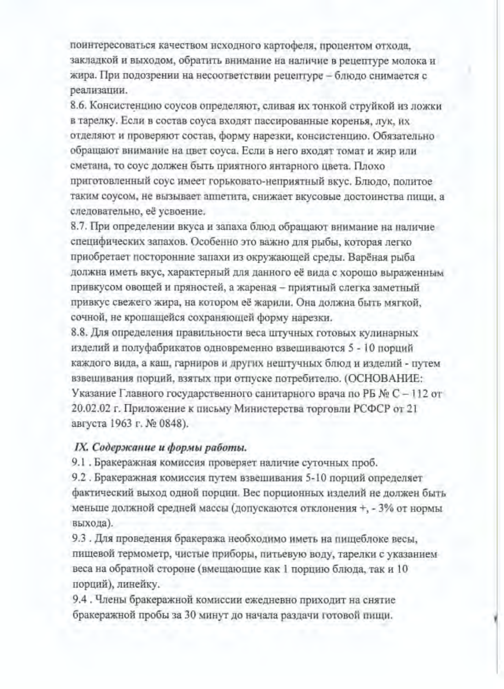поинтересоваться качеством исходного картофеля, процентом отхода, закладкой и выходом, обратить внимание на наличие в рецептуре молока и жира. При подозрении на несоответствии рецептуре - блюдо снимается с реализации.

8.6. Консистенцию соусов определяют, сливая их тонкой струйкой из ложки в тарелку. Если в состав соуса входят пассированные коренья, лук, их отделяют и проверяют состав, форму нарезки, консистенцию. Обязательно обращают внимание на цвет соуса. Если в него входят томат и жир или сметана, то соус должен быть приятного янтарного цвета. Плохо приготовленный соус имеет горьковато-неприятный вкус. Блюдо, политое таким соусом, не вызывает аппетита, снижает вкусовые достоинства пищи, а следовательно, её усвоение.

8.7. При определении вкуса и запаха блюд обращают внимание на наличие специфических запахов. Особенно это важно для рыбы, которая легко приобретает посторонние запахи из окружающей среды. Варёная рыба должна иметь вкус, характерный для данного её вида с хорошо выраженным привкусом овощей и пряностей, а жареная - приятный слегка заметный привкус свежего жира, на котором её жарили. Она должна быть мягкой, сочной, не крошащейся сохраняющей форму нарезки.

8.8. Для определения правильности веса штучных готовых кулинарных изделий и полуфабрикатов одновременно взвешиваются 5 - 10 порций каждого вида, а каш, гарниров и других нештучных блюд и изделий - путем взвешивания порций, взятых при отпуске потребителю. (ОСНОВАНИЕ: Указание Главного государственного санитарного врача по РБ № С - 112 от 20.02.02 г. Приложение к письму Министерства торговли РСФСР от 21 августа 1963 г. № 0848).

#### IX. Содержание и формы работы.

9.1. Бракеражная комиссия проверяет наличие суточных проб.

9.2. Бракеражная комиссия путем взвешивания 5-10 порций определяет фактический выход одной порции. Вес порционных изделий не должен быть меньше должной средней массы (допускаются отклонения +, - 3% от нормы выхода).

9.3. Для проведения бракеража необходимо иметь на пищеблоке весы, пищевой термометр, чистые приборы, питьевую воду, тарелки с указанием веса на обратной стороне (вмещающие как 1 порцию блюда, так и 10 порций), линейку.

9.4. Члены бракеражной комиссии ежедневно приходит на снятие бракеражной пробы за 30 минут до начала раздачи готовой пищи.